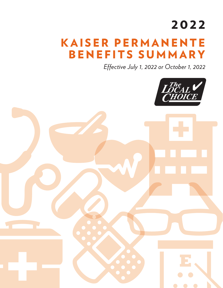# 2022

# KAISER PERMANENTE BENEFITS SUMMARY

*Effective July 1, 2022 or October 1, 2022*

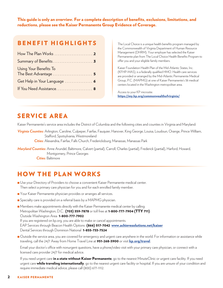This guide is only an overview. For a complete description of benefits, exclusions, limitations, and reductions, please see the Kaiser Permanente Group Evidence of Coverage.

## BENEFIT HIGHLIGHTS

| Using Your Benefits To<br>The Best Advantage  5 |
|-------------------------------------------------|
| Get Help in Your Language  6                    |
| If You Need Assistance 8                        |

The Local Choice is a unique health benefits program managed by the Commonwealth of Virginia Department of Human Resource Management (DHRM). Your employer has selected the Kaiser Permanente plan from The Local Choice Health Benefits Program to offer you and your eligible family members.

Kaiser Foundation Health Plan of the Mid-Atlantic States, Inc. (KFHP-MAS), is a federally qualified HMO. Health care services are provided or arranged by the Mid-Atlantic Permanente Medical Group, P.C. (MAPMG) at one of Kaiser Permanente's 38 medical centers located in the Washington metropolitan area.

Access to your KP microsite: https://my.kp.org/commonwealthofvirginia/

## SERVICE AREA

Kaiser Permanente's service area includes the District of Columbia and the following cities and counties in Virginia and Maryland:

*Virginia Counties:* Arlington, Caroline, Culpeper, Fairfax, Fauquier, Hanover, King George, Louisa, Loudoun, Orange, Prince William, Stafford, Spotsylvania, Westmoreland *Cities:* Alexandria, Fairfax, Falls Church, Fredericksburg, Manassas, Manassas Park

*Maryland Counties:* Anne Arundel, Baltimore, Calvert (partial), Carroll, Charles (partial), Frederick (partial), Harford, Howard, Montgomery, Prince Georges *Cities:* Baltimore

# HOW THE PLAN WORKS

- <sup>n</sup> Use your Directory of Providers to choose a convenient Kaiser Permanente medical center. Then select a primary care physician for you and for each enrolled family member.
- **n** Your Kaiser Permanente physician provides or arranges all services.
- **n** Specialty care is provided on a referral basis by a MAPMG physician.
- <sup>n</sup> Members make appointments directly with the Kaiser Permanente medical center by calling: Metropolitan Washington, D.C. (703) 359-7878 or toll free at 1-800-777-7904 (TTY 711) Outside Washington Area 1-800-777-7902 If you are registered on kp.org, you are able to make or cancel appointments. EAP Services through Beacon Health Options (866) 517-7042 www.achievesolutions.net/kaiser Dental Services through Dominion National 1-855-733-7524
- **n** Outside the service area, you are covered for emergency and urgent care anywhere in the world. For information or assistance while traveling, call the 24/7 Away from Home Travel Line at 951-268-3900 or visit kp.org/travel.

Email your doctor's office with nonurgent questions, have a phone/video visit with your primary care physician, or connect with a licensed care provider 24/7 for medical advice.

If you need urgent care in a state without Kaiser Permanente, go to the nearest MinuteClinic or urgent care facility. If you need urgent care while traveling internationally, go to the nearest urgent care facility or hospital. If you are unsure of your condition and require immediate medical advice, please call (800) 677-1112.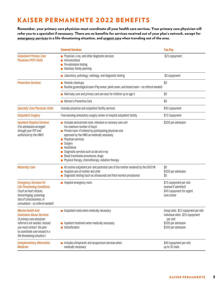# KAISER PERMANENTE 2022 BENEFITS

Remember, your primary care physician must coordinate all your health care services. Your primary care physician will refer you to a specialist if necessary. There are no benefits for services received out of your plan's network, except for emergency services in a life-threatening situation, and urgent care when traveling out of the area.

|                                                                                                                                                                                                                             | <b>Covered Services</b>                                                                                                                                                                                                                                                                                                                                                                                           | <b>You Pay</b>                                                                                                                           |
|-----------------------------------------------------------------------------------------------------------------------------------------------------------------------------------------------------------------------------|-------------------------------------------------------------------------------------------------------------------------------------------------------------------------------------------------------------------------------------------------------------------------------------------------------------------------------------------------------------------------------------------------------------------|------------------------------------------------------------------------------------------------------------------------------------------|
| <b>Outpatient Primary Care</b><br><b>Physician (PCP) Visits</b>                                                                                                                                                             | Physician, x-ray, and other diagnostic services<br><i>Immunizations</i><br>Pre-admission testing<br>Voluntary family planning                                                                                                                                                                                                                                                                                     | \$25 copayment                                                                                                                           |
|                                                                                                                                                                                                                             | Laboratory, pathology, radiology, and diagnostic testing                                                                                                                                                                                                                                                                                                                                                          | \$0 copayment                                                                                                                            |
| <b>Preventive Services</b>                                                                                                                                                                                                  | Periodic checkups<br>Routine gynecological exam (Pap smear, pelvic exam, and breast exam - no referral needed)                                                                                                                                                                                                                                                                                                    | \$0                                                                                                                                      |
|                                                                                                                                                                                                                             | Well baby care and primary care services for children up to age 5                                                                                                                                                                                                                                                                                                                                                 | \$0                                                                                                                                      |
|                                                                                                                                                                                                                             | Women's Preventive Care                                                                                                                                                                                                                                                                                                                                                                                           | \$0                                                                                                                                      |
| <b>Specialty Care Physician Visits</b>                                                                                                                                                                                      | Includes physician and outpatient facility services                                                                                                                                                                                                                                                                                                                                                               | \$40 copayment                                                                                                                           |
| <b>Outpatient Surgery</b>                                                                                                                                                                                                   | Free-standing ambulatory surgery center or hospital outpatient facility                                                                                                                                                                                                                                                                                                                                           | \$75 Copayment                                                                                                                           |
| <b>Inpatient Hospital Services</b><br>(For admissions arranged<br>through your PCP and<br>authorized by the HMO)                                                                                                            | \$300 per admission<br>Includes semi-private room, intensive or coronary care unit<br>(no maximum number of days)<br>Private room-if ordered by participating physician and<br>approved by the HMO as medically necessary<br>Physician services<br>Surgery<br>Anesthesia<br>Diagnostic services such as lab and x-ray<br>Blood transfusion procedures, drugs<br>Physical therapy, chemotherapy, radiation therapy |                                                                                                                                          |
| <b>Maternity Care</b>                                                                                                                                                                                                       | All routine outpatient pre- and postnatal care of the mother rendered by the OB/GYN<br>Hospital care of mother and child<br>Diagnostic testing (such as ultrasounds and fetal monitor procedures)                                                                                                                                                                                                                 | \$0<br>\$300 per admission<br>\$0                                                                                                        |
| <b>Emergency Services For</b><br>Life-Threatening Conditions<br>(Such as heart attacks,<br>hemorrhaging, poisoning,<br>loss of consciousness, or<br>convulsions - no referral needed)                                       | • Hospital emergency room                                                                                                                                                                                                                                                                                                                                                                                         | \$75 copayment per visit<br>(waived if admitted)<br>\$40 copayment for urgent<br>care center                                             |
| <b>Mental Health And</b><br><b>Substance Abuse Services</b><br>(A primary care physician<br>referral is not needed. Instead.<br>you must contact the plan<br>to coordinate care except in a<br>life-threatening situation.) | <b>u.</b> Outpatient visits when medically necessary<br>Inpatient treatment when medically necessary<br><b>Detoxification</b>                                                                                                                                                                                                                                                                                     | Group visits - \$12 copayment per visit<br>Individual visits - \$25 copayment<br>per visit<br>\$300 per admission<br>\$300 per admission |
| <b>Complementary Alternative</b><br><b>Medicine</b>                                                                                                                                                                         | Includes chiropractic and acupuncture services when<br>medically necessary                                                                                                                                                                                                                                                                                                                                        | \$40 copayment per visit<br>up to 30 visits                                                                                              |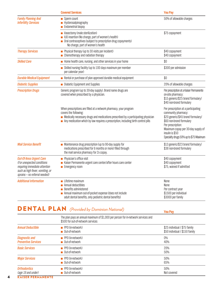|                                                                                                                                                                    | <b>Covered Services</b>                                                                                                                                                                                                                                               | <b>You Pay</b>                                                                                                                                                                                                                                       |
|--------------------------------------------------------------------------------------------------------------------------------------------------------------------|-----------------------------------------------------------------------------------------------------------------------------------------------------------------------------------------------------------------------------------------------------------------------|------------------------------------------------------------------------------------------------------------------------------------------------------------------------------------------------------------------------------------------------------|
| <b>Family Planning And</b><br><b>Infertility Services</b>                                                                                                          | Sperm count<br>Hysterosalpinography<br>Endometrial biopsy                                                                                                                                                                                                             | 50% of allowable charges                                                                                                                                                                                                                             |
|                                                                                                                                                                    | Vasectomy (male sterilization)<br>IUD insertion (No charge, part of women's health)<br>Oral contraceptives (subject to prescription drug copayments)<br>No charge, part of women's health                                                                             | \$75 copayment                                                                                                                                                                                                                                       |
| <b>Therapy Services</b>                                                                                                                                            | Physical therapy (up to 30 visits per incident)<br>Chemotherapy and radiation therapy                                                                                                                                                                                 | \$40 copayment<br>\$40 copayment                                                                                                                                                                                                                     |
| <b>Skilled Care</b>                                                                                                                                                | Home health care, nursing, and other services in your home                                                                                                                                                                                                            | \$0                                                                                                                                                                                                                                                  |
|                                                                                                                                                                    | Skilled nursing facility (up to 100 days maximum per member<br>per calendar year)                                                                                                                                                                                     | \$300 per admission                                                                                                                                                                                                                                  |
| <b>Durable Medical Equipment</b>                                                                                                                                   | Rental or purchase of plan approved durable medical equipment                                                                                                                                                                                                         | \$0                                                                                                                                                                                                                                                  |
| <b>Diabetic Supplies</b>                                                                                                                                           | Diabetic Equipment and Supplies                                                                                                                                                                                                                                       | 20% of allowable charges                                                                                                                                                                                                                             |
| <b>Prescription Drugs</b>                                                                                                                                          | Generic program (up to 30-day supply). Brand name drugs are<br>covered when prescribed by a physician.                                                                                                                                                                | Per prescription at a Kaiser Permanente<br>on-site pharmacy:<br>\$15 generic/\$25 brand formulary/<br>\$40 non-brand formulary                                                                                                                       |
|                                                                                                                                                                    | When prescriptions are filled at a network pharmacy, your program<br>covers the following:<br>Medically necessary drugs and medications prescribed by a participating physician<br>Any medication which by law requires a prescription, including birth control pills | Per prescription at a participating<br>community pharmacy:<br>\$20 generic/\$45 brand formulary/<br>\$60 non-brand formulary<br>Per prescription:<br>Maximum copay per 30-day supply of<br>insulin is \$50<br>Specialty drugs 50% up to \$75 Maximum |
| <b>Mail Service Benefit</b>                                                                                                                                        | • Maintenance drug prescription (up to 90-day supply for<br>medications prescribed for 6 months or more) filled through<br>the mail service pharmacy for 2x copay.                                                                                                    | \$13 generic/\$23 brand formulary/<br>\$38 non-brand formulary                                                                                                                                                                                       |
| <b>Out-Of-Area Urgent Care</b><br>(For unexpected conditions<br>requiring immediate attention<br>such as high fever, vomiting, or<br>sprains - no referral needed) | Physician's office visit<br>\$40 copayment<br>Kaiser Permanente urgent care center/after hours care center<br>\$40 copayment<br>\$75, waived if admitted<br>Emergency room                                                                                            |                                                                                                                                                                                                                                                      |
| <b>Additional Information</b>                                                                                                                                      | Lifetime maximum<br>Annual deductibles<br>Benefits administered<br>Annual maximum out-of-pocket expense (does not include<br>adult dental benefits, only pediatric dental benefits)                                                                                   | None<br>None<br>Per contract year<br>\$1500 per individual<br>\$3000 per family                                                                                                                                                                      |

# DENTAL PLAN *(Provided by Dominion National)* **You Pay**

|                                                     | The plan pays an annual maximum of \$1,000 per person for in-network services and<br>\$500 for out-of-network services |                                                                 |
|-----------------------------------------------------|------------------------------------------------------------------------------------------------------------------------|-----------------------------------------------------------------|
| <b>Annual Deductible</b>                            | $\blacksquare$ PPO (in-network)<br>■ Out-of-network                                                                    | \$25 individual / \$75 family<br>\$50 individual / \$150 family |
| <b>Diagnostic and</b><br><b>Preventive Services</b> | $\blacksquare$ PPO (in-network)<br>■ Out-of-network                                                                    | $0\%$<br>40%                                                    |
| <b>Basic Services</b>                               | $\blacksquare$ PPO (in-network)<br>■ Out-of-network                                                                    | 20%<br>50%                                                      |
| <b>Major Services</b>                               | $\blacksquare$ PPO (in-network)<br>■ Out-of-network                                                                    | 50%<br>65%                                                      |
| <b>Orthodontics</b><br>(age 19 and under)           | $\blacksquare$ PPO (in-network)<br>■ Out-of-network                                                                    | 50%<br>Not covered                                              |

4 KAISER PERMANENTE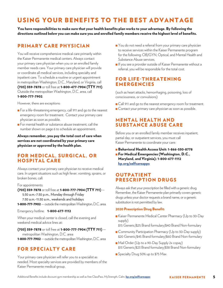# USING YOUR BENEFITS TO THE BEST ADVANTAGE

You have responsibilities to make sure that your health benefits plan works to your advantage. By following the directions outlined below you can make sure you and enrolled family members receive the highest level of benefits.

### PRIMARY CARE PHYSICIAN

You will receive comprehensive medical care primarily within the Kaiser Permanente medical centers. Always contact your primary care physician when you or an enrolled family member needs care. Your primary care physician will provide or coordinate all medical services, including specialty and inpatient care. To schedule a routine or urgent appointment in metropolitan Washington, D.C., Maryland, or Virginia, call (703) 359-7878 or toll free at 1-800-477-7904 (TTY 711). Outside the metropolitan Washington, D.C. area, call 1-800-777-7902.

However, there are exceptions:

- <sup>n</sup> For a life-threatening emergency, call 911 and go to the nearest emergency room for treatment. Contact your primary care physician as soon as possible.
- <sup>n</sup> For mental health or substance abuse treatment, call the number shown on page 6 to schedule an appointment.

Always remember, you pay the total cost of care when services are not coordinated by your primary care physician or approved by the health plan.

### FOR MEDICAL, SURGICAL, OR HOSPITAL CARE

Always contact your primary care physician to receive medical care. In urgent situations such as high fever, vomiting, sprains, or broken bones, call:

#### For appointments:

(703) 359-7878 or toll free at 1-800-777-7904 (TTY 711) — 5:30 a.m.-7:30 p.m., Monday through Friday 7:30 a.m.-11:30 a.m., weekends and holidays 1-800-777-7902 — outside the metropolitan Washington, D.C. area.

Emergency hotline: 1-800-677-1112

When your medical center is closed, call the evening and

weekend medical advice lines at:

(703) 359-7878 or toll free at 1-800-777-7904 (TTY 711) metropolitan Washington, D.C. area

1-800-777-7902 — outside the metropolitan Washington, D.C. area

### FOR SPECIALTY CARE

Your primary care physician will refer you to a specialist as needed. Most specialty services are provided by members of the Kaiser Permanente medical group.

- Nou do not need a referral from your primary care physician to receive services within the Kaiser Permanente program for the following: OB/GYN, Optical, and Mental Health and Substance Abuse services.
- <sup>n</sup> If you see a provider outside of Kaiser Permanente without a referral, you will be responsible for the total cost.

### FOR LIFE-THREATENING EMERGENCIES

(such as heart attacks, hemorrhaging, poisoning, loss of consciousness, or convulsions)

- **n** Call 911 and go to the nearest emergency room for treatment.
- **n** Contact your primary care physician as soon as possible.

### MENTAL HEALTH AND SUBSTANCE ABUSE CARE

Before you or an enrolled family member receives inpatient, partial day, or outpatient services, you must call Kaiser Permanente to coordinate your care:

- <sup>n</sup> Behavioral Health Access Unit: 1-866-530-8778
- **n** For Medical Emergencies (Washington, D.C., Maryland, and Virginia): 1-800-677-1112 kp.org/selfcareapps

### OUTPATIENT PRESCRIPTION DRUGS

Always ask that your prescription be filled with a generic drug. Remember, the Kaiser Permanente plan primarily covers generic drugs unless your doctor requests a brand name, or a generic substitution is not permitted by law.

#### 2020 Prescription Drug Benefit:

- <sup>n</sup> Kaiser Permanente Medical Center Pharmacy (Up to 30-Day supply)
	- \$15 Generic/\$25 Brand formulary/\$40 Brand Non-formulary
- Community Participation Pharmacy (Up to 30-Day supply) \$20 Generic/\$45 Brand formulary/\$60 Brand Non-formulary
- <sup>n</sup> Mail Order (Up to a 90-Day Supply 2x copay) \$13 Generic/\$23 Brand formulary/\$38 Brand Non-formulary
- **n** Specialty Drug 50% up to \$75 Max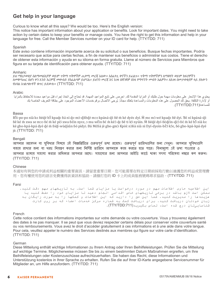### **Get help in your language**

Curious to know what all this says? We would be too. Here's the English version:

Unious to know what all this says? We would be too. Here's the English version.<br>This notice has important information about your application or benefits. Look for important dates. You might need to take action by certain dates to keep your benefits or manage costs. You have the right to get this information and help in your language for free. Call the Member Services number on your ID card for help. (TTY/TDD: 711) action benefits or manage comparisor was managed contribution and help in your management. You  $\mathcal{L}(\mathcal{A})$ 

#### Spanish

opariism<br>Este aviso contiene información importante acerca de su solicitud o sus beneficios. Busque fechas importantes. Podría Este aviso contiene información importante acerca de su solientado sus beneficios. Das de reenas importantes. Podría<br>ser necesario que actúe para ciertas fechas, a fin de mantener sus beneficios o administrar sus costos. T de obtener esta información y ayuda en su idioma en forma gratuita. Llame al número de Servicios para Miembros que figura en su tarjeta de identificación para obtener ayuda. (TTY/TDD: 711) de obtener esta información y ayuda en su idioma en forma gratuita. Llame al número de Servicios para Miembros que

#### Amharic

ይህ ማስታወቂያ ሰለማመልከቻዎ ወይም ጥቅማ ጥቅሞችዎ ጠቃሚ መረጃ አለው። አስፈላጊ ቀኖችን ይፈልጉ። ጥቅማ ጥቅሞችዎን ለማቆየት ወይም ክፍያዎችን Amharic ይሆን ሰለማው ይህ በሰጥም ልስታንም ወይም ጥቅም በተገኘ በተገኘ የመረጃ ለመውጣር በመልከድ ጥቅም እንዲያስም ጥቅም በተገኘ የሚገኘ የምን መረጃ በመቃለል በመንግስት በመረጃ አ<br>ለመቆጣጠር በሆነ ቀን አንድ እርምጃ መውሰድ ያስፈልግዎ ይሆናል። ይህንን መረጃ እና እንዛ በቋንቋዎ በነጻ የማግኘት መብት አልዎት። ለእንዛ በመታወቂያዎ ላይ ያለውን የአባል አገልግሎቶች ቁጥር ይደውሉ። (TTY/TDD: 711)  $\alpha$  return negots  $\omega_{\alpha}$  is an approximation of  $\omega_{\alpha}$ 

#### Arabic

يحتوي هذا الإشعار على معلومات مهمة حول طلبك أو المزايا المقدمة لك. احرص على تتبع المواعيد المهمة. قد تحتاج إلى اتخاذ إجراء قبل مواعيد محددة للاحتفاظ بالمزايا يسوي عدم مسرح على معرفت مهد عون عليه . و معرب مصنف عدم موسر على علي معرفت المهد . – حسن بي مصد ببراء عن مراحيا<br>أو لإدارة التكلفة. يحق لك الحصول على هذه المعلومات والمساعدة بلغتك مجأنًا. يُرجى الاتصال برقم خدمات الأعضاء ال .(TTY/TDD:711)للمساعدة او لإدارة اللكلفة. يُحق لك الحصا<br>الموجود على بكاء بكل التكلية.

#### Bassa

Bɔ̃̌i-po-po nìà kɛ ɓéɖé bɔ̃̌kpaɖɛ ɓá nì ɖɛ-mɔ́-ɖìfèɖè mɔɔ kpáná-ɖɛ̀ɓě m̀ ké dyéɛ dyí. M� mɛ mɔ́wé kpaɖɛ ɓě dyi. Ɓɛ́nì kpáná-ɖɛ̀ Bassa bối ké m xwa se moo bề m kế píó xwa bền nyet, o mu wền bề m kế dẹ bề ti kõ nyùn. M hiể mô wề khua cho tuy. De m kháng qu<br>Bề kế m xwa se moo bề m kế píó xwa bền nyet, o mu wền bề m kếó de bề ti kõ nyùn. M bềdê dyí-bềdền-dèò be ké m´xwa se mɔɔ be m ké píɔ xwa bem nyee, ɔ mu wɛm be m kéɔ qe be u kɔ nyum. M beqe uy-beqem-qeɔ be m ké bɔ ma ke<br>kè gbo-kpá-kpá dyé qé m̀ ɓíqí-wùqùǔn ɓó pídyi. Đá Méɓà jè gbo-gmɔ̀ Kpòɛ̀ nɔ̀ɓà nìà nì Dyí-dyoìn-bɛ̃ɔ̃ kɔ̃ jè. (TTY/TDD: 711)  $h$ -beb  $k$ bé, bo gbo-k $pa$ -k $pa$  dye

#### Bengali

আপনার আেবদন বা সুিবধার িবষেয় এই িব�ি�িটেত গর�পূণর্ তথয্ রেয়েছ। গর�পূণর্ তািরখগিলর জনয্ েদখুন। আপনার সুিবধাগিল Bengali বজায় রাখার জন্য বা খরচ নিয়ন্ত্রণ করার জন্য নির্দিষ্ট তাািরথে আপনাকে কাজ করতে হতে পারে। বিনামূল্যে এই তথ্য পাওয়ার ও আপনার ভাষায সাহায্য করার অধিকার আপনার আছে। সাহায্যের জন্য আপনার আইডি কার্ডে থাকা সদস্য পরিষেবা নম্বরে কল করুন। (TTY/TDD: 711)  $\frac{1}{2}$  and  $\frac{1}{2}$  and  $\frac{1}{2}$  and  $\frac{1}{2}$  and  $\frac{1}{2}$  $\frac{d}{dx}$  and  $\frac{d}{dx}$  on the oriental oriental oriental oriental  $\frac{d}{dx}$ আপনার ভাষায় সাহাযয্ করার অিধকার আপনার আেছ। সাহােযয্র জনয্ আপনার আইিড কােডর্ থাকা সদসয্ পিরেষবা ন�ের কল করন।

#### Chinese

本通知有與您的申請或利益相關的重要資訊。請留意重要日期。您可能需要在特定日期前採取行動以維護您的利益或管理費 Chinese 用。您有權使用您的語言免費獲得該資訊和協助。請撥打您的 ID 卡上的成員服務號碼尋求協助。(TTY/TDD: 711) 本通知有與您的申請或利益相關的重要資訊。請留意重要日期。您可能需要在特定日期前採取行動以維護您的利益或管理費  $\mathbb{R}^{[1]}$ 。(TTT/TDD: 711)

#### Farsi

این اطلاعیه حاوی اطلاعات *م*هم در *م*ورد در*خو*است یا مزایای شما است. به تاریخهای مهم دقت کنید.<br>'' میں مصرفیہ تارین مصرفات مھم در سورد درفرست یا مزینی سلسلہ میں ہا کاریایی میں مہم دقت کنید یا میں معاملے کے سام<br>ممکن است لازم باشد در برخی تاریخھای خاص اقدامی انجام دھید تا مزایای خود را حفظ کنید یا مسکن مسکن کو بعد در برخی کاریکسی حاص کی ہے۔<br>مزینهها را مدیریت کنید. شما این حق را دارید که این اطلاعات و کمکھا را به صورت رایگان به سریت سا را مدیریت کنید. سبب این کی را دارید کا بین اصلاحات و کمکھا را با صورت راید<br>زبان خودتان دریافت کنید. برای دریافت کمک به شماره مرکز خدمات اعضاء که بر روی کارت ربان درجات کار دریافت کارتوست کے بھارت کے بھارت کر دیافت کر دیا<br>شناساییتان درج شده است، تماس بگیرید(TTY/TDD:711).

#### French

Cette notice contient des informations importantes sur votre demande ou votre couverture. Vous y trouverez également French des dates à ne pas manquer. Il se peut que vous deviez respecter certains délais pour conserver votre couverture santé des dates a ne pas manquer. Il se peut que vous deviez respecter certains delais pour conserver voire couverture same<br>ou vos remboursements. Vous avez le droit d'accéder gratuitement à ces informations et à une aide dans v ba vos remboarsements. Voas avez le droit d'acceder gratatiement à ces imbimations et à aite aide dans voite langue.<br>Pour cela, veuillez appeler le numéro des Services destinés aux membres qui figure sur votre carte d'iden (TTY/TDD: 711) Pour cela, veuillez appeler le numéro des Services destinés aux membres qui figure sur votre carte d'identification.

#### German

Diese Mitteilung enthält wichtige Informationen zu Ihrem Antrag oder Ihren Beihilfeleistungen. Prüfen Sie die Mitteilung German biese mittenang enthalt wienige informationen zu ihrem Antrag oder mien Behillichestangen. I Taten die die mittenang<br>auf wichtige Termine. Möglicherweise müssen Sie bis zu einem bestimmten Datum Maßnahmen ergreifen, um Ihr Beihilfeleistungen oder Kostenzuschüsse aufrechtzuerhalten. Sie haben das Recht, diese Informationen und Beihilfeleistungen oder Rostenzuschüsse aufrechtzuerhalten. Die haben das Recht, diese Informationen und<br>Unterstützung kostenlos in Ihrer Sprache zu erhalten. Rufen Sie die auf Ihrer ID-Karte angegebene Servicenummer für Mitglieder an, um Hilfe anzufordern. (TTY/TDD: 711) michtigicher, am ihre.<br>ofermetienen und Unterstützung kostenlos in Ihrer Sprache zu erhalten. Rufen Sie die auf Ihrer ID-Karte angegebene Servicenummer für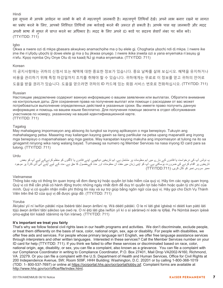#### Hindi

इस सूचना में आपके आवेदन या लाभों के बारे में महत्वपूर्ण जानकारी है। महत्वपूर्ण तिथियां देखे। अपने लाभ बनाए रखने या लागत का प्रबंध करने के लिए, आपको निश्चित तिथियों तक कार्रवाई करने की जरूरत हो सकती है। आपके पास यह जानकारी और मदद अपनी भाषा में मुफ़्त में प्राप्त करने का अधिकार है। मदद के लिए अपने ID काडे पर सदस्य सेवाएँ नंबर पर कॉल करे। (TTY/TDD: 711)

#### Igbo

Ọkwa a nwere ozi dị mkpa gbasara akwụkwọ anamachọihe ma ọ bụ elele gị. Chọgharịa ụbọchị ndi dị mkpa. Ị nwere ike ịme ihe n'ụfọdụ ụbọchị iji dowe elele gị ma ọ bụ jikwaa ọnụego. Ị nwere ikike ịnweta ozi a yana enyemaka n'asụsụ gị n'efu. Kpọọ nọmba Ọrụ Onye Otu dị na kaadị NJ gị maka enyemaka. (TTY/TDD: 711)

#### Korean

이 공지사항에는 귀하의 신청서 또는 혜택에 대한 중요한 정보가 있습니다. 중요 날짜를 살펴 보십시오. 혜택을 유지하거나 비용을 관리하기 위해 특정 마감일까지 조치를 취해야 할 수 있습니다. 귀하에게는 무료로 이 정보를 얻고 귀하의 언어로 도움을 받을 권리가 있습니다. 도움을 얻으려면 귀하의 ID 카드에 있는 회원 서비스 번호로 전화하십시오. (TTY/TDD: 711)

#### Russian

Настоящее уведомление содержит важную информацию о вашем заявлении или выплатах. Обратите внимание на контрольные даты. Для сохранения права на получение выплат или помощи с расходами от вас может потребоваться выполнение определенных действий в указанные сроки. Вы имеете право получить данную информацию и помощь на вашем языке бесплатно. Для получения помощи звоните в отдел обслуживания участников по номеру, указанному на вашей идентификационной карте. (TTY/TDD: 711)

#### Tagalog

May mahalagang impormasyon ang abisong ito tungkol sa inyong aplikasyon o mga benepisyo. Tukuyin ang mahahalagang petsa. Maaaring may kailangan kayong gawin sa ilang partikular na petsa upang mapanatili ang inyong mga benepisyo o mapamahalaan ang mga gastos. May karapatan kayong makuha ang impormasyon at tulong na ito sa ginagamit ninyong wika nang walang bayad. Tumawag sa numero ng Member Services na nasa inyong ID card para sa tulong. (TTY/TDD: 711)

#### Urdu

یہ نوٹس آپ کی درخواست یا فائدوں کے بارے میں اہم معلومات پر مشتمل ہے۔ اہم تاریخیں دیکھیے۔ اپنے فائدوں یا لاگتوں کو منظم کرنےکے لیے آپ کو بعض تاریخوں پر اقدام کرنے کی ضرورت ہوسکتی ہے۔ آپ کو اپنی زبان میں مفت ان معلومات اور مدد کےحصول کا حق ہے۔ مدد کے لیے اپنے آئی ڈی کارڈ پر موجود ممبر سروس نمبر کو کال کریں۔ (:711TDD/TTY(

#### Vietnamese

Thông báo này có thông tin quan trọng về đơn đang ký hoặc quyền lợi bảo hiểm của quý vị. Hãy tìm các ngày quan trọng. Quý vị có thể cần phải có hành động trước những ngày nhất định để duy trì quyền lợi bảo hiểm hoặc quản lý chi phí của mình. Quý vị có quyền nhận miễn phí thông tin này và sự trợ giúp bằng ngôn ngữ của quý vị. Hãy gọi cho Dịch Vụ Thành Viên trên thẻ ID của quý vị để được giúp đỡ. (TTY/TDD: 711)

#### Yoruba

Àkíyèsí yìí ní ìwífún pàtàkì nípa ìbéèrè tàbí àwọn ànfàní rẹ. Wá déètì pàtàkì. O le ní láti gbé ìgbésẹ̀ ní déètì kan pàtó láti tójú àwọn ànfàní tàbí şàkóso iye owó rẹ. O ní ẹ̀tọ́ láti gba ìwífún yìí kí o sì ṣèrànwọ́ ní èdè rẹ lọ́fẹ̀ẹ́. Pe Nọ́mbà àwọn ìpèsè ọmọ-ẹgbẹ́ lórí káàdì ìdánimọ̀ rẹ fún ìrànwọ́. (TTY/TDD: 711)

#### **It's important we treat you fairly**

That's why we follow federal civil rights laws in our health programs and activities. We don't discriminate, exclude people, or treat them differently on the basis of race, color, national origin, sex, age or disability. For people with disabilities, we offer free aids and services. For people whose primary language isn't English, we offer free language assistance services through interpreters and other written languages. Interested in these services? Call the Member Services number on your ID card for help (TTY/TDD: 711). If you think we failed to offer these services or discriminated based on race, color, national origin, age, disability, or sex, you can file a complaint, also known as a grievance. You can file a complaint with our Compliance Coordinator in writing to Compliance Coordinator, P.O. Box 27401, Mail Drop VA2002-N160, Richmond, VA 23279. Or you can file a complaint with the U.S. Department of Health and Human Services, Office for Civil Rights at 200 Independence Avenue, SW; Room 509F, HHH Building; Washington, D.C. 20201 or by calling 1-800-368-1019 (TDD: 1- 800-537-7697) or online at https://ocrportal.hhs.gov/ocr/portal/lobby.jsf. Complaint forms are available at http://www.hhs.gov/ocr/office/file/index.html*.*